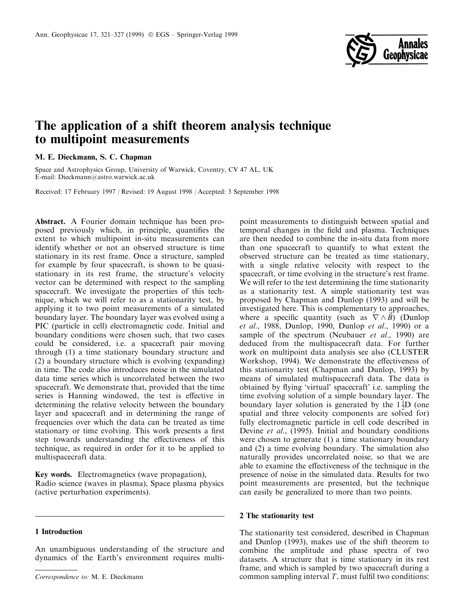

# The application of a shift theorem analysis technique to multipoint measurements

# M. E. Dieckmann, S. C. Chapman

Space and Astrophysics Group, University of Warwick, Coventry, CV 47 AL, UK E-mail: Dieckmann@astro.warwick.ac.uk

Received: 17 February 1997 / Revised: 19 August 1998 / Accepted: 3 September 1998

Abstract. A Fourier domain technique has been proposed previously which, in principle, quantifies the extent to which multipoint in-situ measurements can identify whether or not an observed structure is time stationary in its rest frame. Once a structure, sampled for example by four spacecraft, is shown to be quasistationary in its rest frame, the structure's velocity vector can be determined with respect to the sampling spacecraft. We investigate the properties of this technique, which we will refer to as a stationarity test, by applying it to two point measurements of a simulated boundary layer. The boundary layer was evolved using a PIC (particle in cell) electromagnetic code. Initial and boundary conditions were chosen such, that two cases could be considered, i.e. a spacecraft pair moving through (1) a time stationary boundary structure and (2) a boundary structure which is evolving (expanding) in time. The code also introduces noise in the simulated data time series which is uncorrelated between the two spacecraft. We demonstrate that, provided that the time series is Hanning windowed, the test is effective in determining the relative velocity between the boundary layer and spacecraft and in determining the range of frequencies over which the data can be treated as time stationary or time evolving. This work presents a first step towards understanding the effectiveness of this technique, as required in order for it to be applied to multispacecraft data.

Key words. Electromagnetics (wave propagation), Radio science (waves in plasma), Space plasma physics (active perturbation experiments).

## 1 Introduction

An unambiguous understanding of the structure and dynamics of the Earth's environment requires multi-

point measurements to distinguish between spatial and temporal changes in the field and plasma. Techniques are then needed to combine the in-situ data from more than one spacecraft to quantify to what extent the observed structure can be treated as time stationary, with a single relative velocity with respect to the spacecraft, or time evolving in the structure's rest frame. We will refer to the test determining the time stationarity as a stationarity test. A simple stationarity test was proposed by Chapman and Dunlop (1993) and will be investigated here. This is complementary to approaches, where a specific quantity (such as  $\nabla \wedge \vec{B}$ ) (Dunlop et al., 1988, Dunlop, 1990, Dunlop et al., 1990) or a sample of the spectrum (Neubauer et al., 1990) are deduced from the multispacecraft data. For further work on multipoint data analysis see also (CLUSTER Workshop, 1994). We demonstrate the effectiveness of this stationarity test (Chapman and Dunlop, 1993) by means of simulated multispacecraft data. The data is obtained by flying 'virtual' spacecraft' i.e. sampling the time evolving solution of a simple boundary layer. The boundary layer solution is generated by the  $1\frac{1}{2}D$  (one spatial and three velocity components are solved for) fully electromagnetic particle in cell code described in Devine et al., (1995). Initial and boundary conditions were chosen to generate (1) a time stationary boundary and (2) a time evolving boundary. The simulation also naturally provides uncorrelated noise, so that we are able to examine the effectiveness of the technique in the presence of noise in the simulated data. Results for two point measurements are presented, but the technique can easily be generalized to more than two points.

## 2 The stationarity test

The stationarity test considered, described in Chapman and Dunlop (1993), makes use of the shift theorem to combine the amplitude and phase spectra of two datasets. A structure that is time stationary in its rest frame, and which is sampled by two spacecraft during a  $Correspondence to: M. E. Dieckmann$  common sampling interval T, must fulfil two conditions: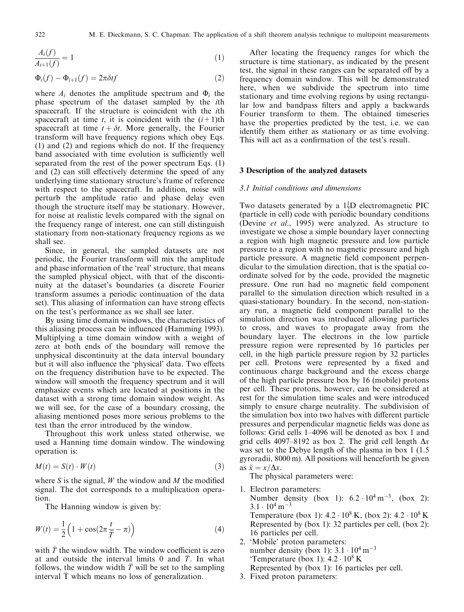$$
\frac{A_i(f)}{A_{i+1}(f)} = 1\tag{1}
$$

$$
\Phi_i(f) - \Phi_{i+1}(f) = 2\pi \delta t f \tag{2}
$$

where  $A_i$  denotes the amplitude spectrum and  $\Phi_i$  the phase spectrum of the dataset sampled by the ith spacecraft. If the structure is coincident with the ith spacecraft at time t, it is coincident with the  $(i+1)$ th spacecraft at time  $t + \delta t$ . More generally, the Fourier transform will have frequency regions which obey Eqs. (1) and (2) and regions which do not. If the frequency band associated with time evolution is sufficiently well separated from the rest of the power spectrum Eqs. (1) and  $(2)$  can still effectively determine the speed of any underlying time stationary structure's frame of reference with respect to the spacecraft. In addition, noise will perturb the amplitude ratio and phase delay even though the structure itself may be stationary. However, for noise at realistic levels compared with the signal on the frequency range of interest, one can still distinguish stationary from non-stationary frequency regions as we shall see.

Since, in general, the sampled datasets are not periodic, the Fourier transform will mix the amplitude and phase information of the `real' structure, that means the sampled physical object, with that of the discontinuity at the dataset's boundaries (a discrete Fourier transform assumes a periodic continuation of the data set). This aliasing of information can have strong effects on the test's performance as we shall see later.

By using time domain windows, the characteristics of this aliasing process can be influenced (Hamming 1993). Multiplying a time domain window with a weight of zero at both ends of the boundary will remove the unphysical discontinuity at the data interval boundary but it will also influence the 'physical' data. Two effects on the frequency distribution have to be expected. The window will smooth the frequency spectrum and it will emphasize events which are located at positions in the dataset with a strong time domain window weight. As we will see, for the case of a boundary crossing, the aliasing mentioned poses more serious problems to the test than the error introduced by the window.

Throughout this work unless stated otherwise, we used a Hanning time domain window. The windowing operation is:

$$
M(t) = S(t) \cdot W(t) \tag{3}
$$

where S is the signal, W the window and M the modified signal. The dot corresponds to a multiplication operation.

The Hanning window is given by:

$$
W(t) = \frac{1}{2} \left( 1 + \cos(2\pi \frac{t}{\overline{T}} - \pi) \right)
$$
 (4)

with  $\bar{T}$  the window width. The window coefficient is zero at and outside the interval limits 0 and  $\bar{T}$ . In what follows, the window width  $T$  will be set to the sampling interval T which means no loss of generalization.

After locating the frequency ranges for which the structure is time stationary, as indicated by the present test, the signal in these ranges can be separated off by a frequency domain window. This will be demonstrated here, when we subdivide the spectrum into time stationary and time evolving regions by using rectangular low and bandpass filters and apply a backwards Fourier transform to them. The obtained timeseries have the properties predicted by the test, i.e. we can identify them either as stationary or as time evolving. This will act as a confirmation of the test's result.

## 3 Description of the analyzed datasets

#### 3.1 Initial conditions and dimensions

Two datasets generated by a  $1\frac{1}{2}D$  electromagnetic PIC (particle in cell) code with periodic boundary conditions (Devine et al., 1995) were analyzed. As structure to investigate we chose a simple boundary layer connecting a region with high magnetic pressure and low particle pressure to a region with no magnetic pressure and high particle pressure. A magnetic field component perpendicular to the simulation direction, that is the spatial coordinate solved for by the code, provided the magnetic pressure. One run had no magnetic field component parallel to the simulation direction which resulted in a quasi-stationary boundary. In the second, non-stationary run, a magnetic field component parallel to the simulation direction was introduced allowing particles to cross, and waves to propagate away from the boundary layer. The electrons in the low particle pressure region were represented by 16 particles per cell, in the high particle pressure region by 32 particles per cell. Protons were represented by a fixed and continuous charge background and the excess charge of the high particle pressure box by 16 (mobile) protons per cell. These protons, however, can be considered at rest for the simulation time scales and were introduced simply to ensure charge neutrality. The subdivision of the simulation box into two halves with different particle pressures and perpendicular magnetic fields was done as follows: Grid cells 1–4096 will be denoted as box 1 and grid cells 4097-8192 as box 2. The grid cell length  $\Delta x$ was set to the Debye length of the plasma in box 1 (1.5 gyroradii, 8000 m). All positions will henceforth be given as  $\tilde{x} = x/\Delta x$ .

The physical parameters were:

- 1. Electron parameters: Number density (box 1):  $6.2 \cdot 10^4 \text{ m}^{-3}$ , (box 2):  $3.1 \cdot 10^4$  m<sup>-3</sup> Temperature (box 1):  $4.2 \cdot 10^8$  K, (box 2):  $4.2 \cdot 10^8$  K Represented by (box 1): 32 particles per cell, (box 2): 16 particles per cell.
- 2. `Mobile' proton parameters: number density (box 1):  $3.1 \cdot 10^4$  m<sup>-3</sup> 'Temperature (box 1):  $4.2 \cdot 10^8$  K Represented by (box 1): 16 particles per cell.
- 3. Fixed proton parameters: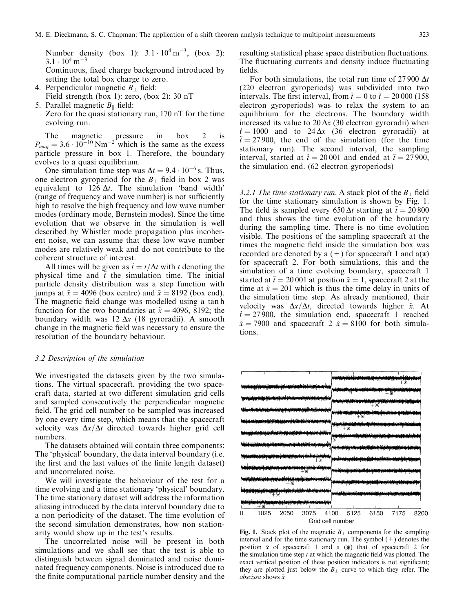Number density (box 1):  $3.1 \cdot 10^4 \text{ m}^{-3}$ , (box 2):  $3.1 \cdot 10^4$  m<sup>-3</sup>

Continuous, fixed charge background introduced by setting the total box charge to zero.

- 4. Perpendicular magnetic  $B_{\perp}$  field: Field strength (box 1): zero, (box 2): 30 nT 5. Parallel magnetic  $B_{\parallel}$  field:
- Zero for the quasi stationary run, 170 nT for the time evolving run.

The magnetic pressure in box 2 is  $P_{mag} = 3.6 \cdot 10^{-10} \text{ Nm}^{-2}$  which is the same as the excess particle pressure in box 1. Therefore, the boundary evolves to a quasi equilibrium.

One simulation time step was  $\Delta t = 9.4 \cdot 10^{-6}$  s. Thus, one electron gyroperiod for the  $B_{\perp}$  field in box 2 was equivalent to 126  $\Delta t$ . The simulation 'band width' (range of frequency and wave number) is not sufficiently high to resolve the high frequency and low wave number modes (ordinary mode, Bernstein modes). Since the time evolution that we observe in the simulation is well described by Whistler mode propagation plus incoherent noise, we can assume that these low wave number modes are relatively weak and do not contribute to the coherent structure of interest.

All times will be given as  $\tilde{t} = t/\Delta t$  with t denoting the physical time and  $\tilde{t}$  the simulation time. The initial particle density distribution was a step function with jumps at  $\tilde{x} = 4096$  (box centre) and  $\tilde{x} = 8192$  (box end). The magnetic field change was modelled using a tan h function for the two boundaries at  $\tilde{x} = 4096, 8192$ ; the boundary width was  $12 \Delta x$  (18 gyroradii). A smooth change in the magnetic field was necessary to ensure the resolution of the boundary behaviour.

#### 3.2 Description of the simulation

We investigated the datasets given by the two simulations. The virtual spacecraft, providing the two spacecraft data, started at two different simulation grid cells and sampled consecutively the perpendicular magnetic field. The grid cell number to be sampled was increased by one every time step, which means that the spacecraft velocity was  $\Delta x/\Delta t$  directed towards higher grid cell numbers.

The datasets obtained will contain three components: The `physical' boundary, the data interval boundary (i.e. the first and the last values of the finite length dataset) and uncorrelated noise.

We will investigate the behaviour of the test for a time evolving and a time stationary `physical' boundary. The time stationary dataset will address the information aliasing introduced by the data interval boundary due to a non periodicity of the dataset. The time evolution of the second simulation demonstrates, how non stationarity would show up in the test's results.

The uncorrelated noise will be present in both simulations and we shall see that the test is able to distinguish between signal dominated and noise dominated frequency components. Noise is introduced due to the finite computational particle number density and the resulting statistical phase space distribution fluctuations. The fluctuating currents and density induce fluctuating fields.

For both simulations, the total run time of 27 900  $\Delta t$ (220 electron gyroperiods) was subdivided into two intervals. The first interval, from  $\tilde{t} = 0$  to  $\tilde{t} = 20 000 (158$ electron gyroperiods) was to relax the system to an equilibrium for the electrons. The boundary width increased its value to 20  $\Delta x$  (30 electron gyroradii) when  $\tilde{t} = 1000$  and to 24  $\Delta x$  (36 electron gyroradii) at  $\tilde{t} = 27 900$ , the end of the simulation (for the time stationary run). The second interval, the sampling interval, started at  $\tilde{t} = 20001$  and ended at  $\tilde{t} = 27900$ , the simulation end. (62 electron gyroperiods)

3.2.1 The time stationary run. A stack plot of the  $B_{\perp}$  field for the time stationary simulation is shown by Fig. 1. The field is sampled every 650  $\Delta t$  starting at  $\tilde{t} = 20\,800$ and thus shows the time evolution of the boundary during the sampling time. There is no time evolution visible. The positions of the sampling spacecraft at the times the magnetic field inside the simulation box was recorded are denoted by a  $(+)$  for spacecraft 1 and  $a(\ast)$ for spacecraft 2. For both simulations, this and the simulation of a time evolving boundary, spacecraft 1 started at  $\tilde{t} = 20001$  at position  $\tilde{x} = 1$ , spacecraft 2 at the time at  $\tilde{x} = 201$  which is thus the time delay in units of the simulation time step. As already mentioned, their velocity was  $\Delta x/\Delta t$ , directed towards higher  $\tilde{x}$ . At  $\tilde{t} = 27 900$ , the simulation end, spacecraft 1 reached  $\tilde{x} = 7900$  and spacecraft 2  $\tilde{x} = 8100$  for both simulations.



Fig. 1. Stack plot of the magnetic  $B_{\perp}$  components for the sampling interval and for the time stationary run. The symbol  $(+)$  denotes the position  $\tilde{x}$  of spacecraft 1 and a  $(\ast)$  that of spacecraft 2 for the simulation time step  $t$  at which the magnetic field was plotted. The exact vertical position of these position indicators is not significant; they are plotted just below the  $B_{\perp}$  curve to which they refer. The abscissa shows  $\tilde{x}$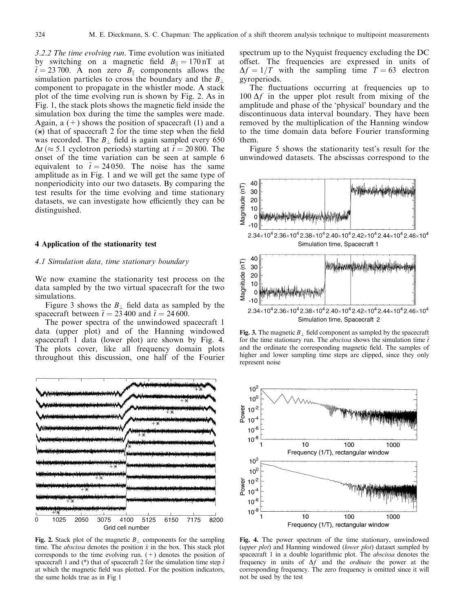3.2.2 The time evolving run. Time evolution was initiated by switching on a magnetic field  $B_{\parallel} = 170 \text{ nT}$  at  $\tilde{t} = 23,700$ . A non zero  $B_{\parallel}$  components allows the simulation particles to cross the boundary and the  $B_{\perp}$ component to propagate in the whistler mode. A stack plot of the time evolving run is shown by Fig. 2. As in Fig. 1, the stack plots shows the magnetic field inside the simulation box during the time the samples were made. Again,  $a + b$  shows the position of spacecraft (1) and a  $(*)$  that of spacecraft 2 for the time step when the field was recorded. The  $B_1$  field is again sampled every 650  $\Delta t \approx 5.1$  cyclotron periods) starting at  $\tilde{t} = 20 800$ . The onset of the time variation can be seen at sample 6 equivalent to  $\tilde{t} = 24 050$ . The noise has the same amplitude as in Fig. 1 and we will get the same type of nonperiodicity into our two datasets. By comparing the test results for the time evolving and time stationary datasets, we can investigate how efficiently they can be distinguished.

# 4 Application of the stationarity test

#### 4.1 Simulation data, time stationary boundary

We now examine the stationarity test process on the data sampled by the two virtual spacecraft for the two simulations.

Figure 3 shows the  $B_1$  field data as sampled by the spacecraft between  $\tilde{t} = 23,400$  and  $\tilde{t} = 24,600$ .

The power spectra of the unwindowed spacecraft 1 data (upper plot) and of the Hanning windowed spacecraft 1 data (lower plot) are shown by Fig. 4. The plots cover, like all frequency domain plots throughout this discussion, one half of the Fourier



Fig. 2. Stack plot of the magnetic  $B_{\perp}$  components for the sampling time. The *abscissa* denotes the position  $\tilde{x}$  in the box. This stack plot corresponds to the time evolving run.  $(+)$  denotes the position of spacecraft 1 and (\*) that of spacecraft 2 for the simulation time step  $\tilde{t}$ at which the magnetic field was plotted. For the position indicators, the same holds true as in Fig 1

spectrum up to the Nyquist frequency excluding the DC offset. The frequencies are expressed in units of  $\Delta f = 1/T$  with the sampling time  $T = 63$  electron gyroperiods.

The fluctuations occurring at frequencies up to  $100 \Delta f$  in the upper plot result from mixing of the amplitude and phase of the `physical' boundary and the discontinuous data interval boundary. They have been removed by the multiplication of the Hanning window to the time domain data before Fourier transforming them.

Figure 5 shows the stationarity test's result for the unwindowed datasets. The abscissas correspond to the



Fig. 3. The magnetic  $B_{\perp}$  field component as sampled by the spacecraft for the time stationary run. The *abscissa* shows the simulation time  $\tilde{t}$ and the ordinate the corresponding magnetic field. The samples of higher and lower sampling time steps are clipped, since they only represent noise



Fig. 4. The power spectrum of the time stationary, unwindowed (upper plot) and Hanning windowed (lower plot) dataset sampled by spacecraft 1 in a double logarithmic plot. The abscissa denotes the frequency in units of  $\Delta f$  and the *ordinate* the power at the corresponding frequency. The zero frequency is omitted since it will not be used by the test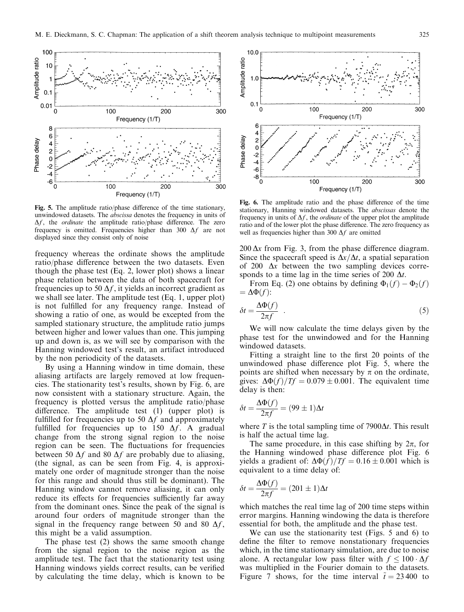

Fig. 5. The amplitude ratio/phase difference of the time stationary, unwindowed datasets. The abscissa denotes the frequency in units of  $\Delta f$ , the *ordinate* the amplitude ratio/phase difference. The zero frequency is omitted. Frequencies higher than 300  $\Delta f$  are not displayed since they consist only of noise

frequency whereas the ordinate shows the amplitude ratio/phase difference between the two datasets. Even though the phase test (Eq. 2, lower plot) shows a linear phase relation between the data of both spacecraft for frequencies up to 50  $\Delta f$ , it yields an incorrect gradient as we shall see later. The amplitude test (Eq. 1, upper plot) is not fulfilled for any frequency range. Instead of showing a ratio of one, as would be excepted from the sampled stationary structure, the amplitude ratio jumps between higher and lower values than one. This jumping up and down is, as we will see by comparison with the Hanning windowed test's result, an artifact introduced by the non periodicity of the datasets.

By using a Hanning window in time domain, these aliasing artifacts are largely removed at low frequencies. The stationarity test's results, shown by Fig. 6, are now consistent with a stationary structure. Again, the frequency is plotted versus the amplitude ratio/phase difference. The amplitude test  $(1)$  (upper plot) is fulfilled for frequencies up to 50  $\Delta f$  and approximately fulfilled for frequencies up to 150  $\Delta f$ . A gradual change from the strong signal region to the noise region can be seen. The fluctuations for frequencies between 50  $\Delta f$  and 80  $\Delta f$  are probably due to aliasing, (the signal, as can be seen from Fig. 4, is approximately one order of magnitude stronger than the noise for this range and should thus still be dominant). The Hanning window cannot remove aliasing, it can only reduce its effects for frequencies sufficiently far away from the dominant ones. Since the peak of the signal is around four orders of magnitude stronger than the signal in the frequency range between 50 and 80  $\Delta f$ , this might be a valid assumption.

The phase test (2) shows the same smooth change from the signal region to the noise region as the amplitude test. The fact that the stationarity test using Hanning windows yields correct results, can be verified by calculating the time delay, which is known to be



Fig. 6. The amplitude ratio and the phase difference of the time stationary, Hanning windowed datasets. The abscissas denote the frequency in units of  $\Delta f$ , the *ordinate* of the upper plot the amplitude ratio and of the lower plot the phase difference. The zero frequency as well as frequencies higher than 300  $\Delta f$  are omitted

 $200 \Delta x$  from Fig. 3, from the phase difference diagram. Since the spacecraft speed is  $\Delta x/\Delta t$ , a spatial separation of 200  $\Delta x$  between the two sampling devices corresponds to a time lag in the time series of 200  $\Delta t$ .

From Eq. (2) one obtains by defining  $\Phi_1(f) - \Phi_2(f)$  $=\Delta\Phi(f)$ :

$$
\delta t = \frac{\Delta \Phi(f)}{2\pi f} \quad . \tag{5}
$$

We will now calculate the time delays given by the phase test for the unwindowed and for the Hanning windowed datasets.

Fitting a straight line to the first 20 points of the unwindowed phase difference plot Fig. 5, where the points are shifted when necessary by  $\pi$  on the ordinate, gives:  $\Delta \Phi(f)/Tf = 0.079 \pm 0.001$ . The equivalent time delay is then:

$$
\delta t = \frac{\Delta \Phi(f)}{2\pi f} = (99 \pm 1)\Delta t
$$

where T is the total sampling time of  $7900\Delta t$ . This result is half the actual time lag.

The same procedure, in this case shifting by  $2\pi$ , for the Hanning windowed phase difference plot Fig. 6 yields a gradient of:  $\Delta \Phi(f)/Tf = 0.16 \pm 0.001$  which is equivalent to a time delay of:

$$
\delta t = \frac{\Delta \Phi(f)}{2\pi f} = (201 \pm 1)\Delta t
$$

which matches the real time lag of 200 time steps within error margins. Hanning windowing the data is therefore essential for both, the amplitude and the phase test.

We can use the stationarity test (Figs. 5 and 6) to define the filter to remove nonstationary frequencies which, in the time stationary simulation, are due to noise alone. A rectangular low pass filter with  $f \le 100 \cdot \Delta f$ was multiplied in the Fourier domain to the datasets. Figure 7 shows, for the time interval  $\tilde{t} = 23\,400$  to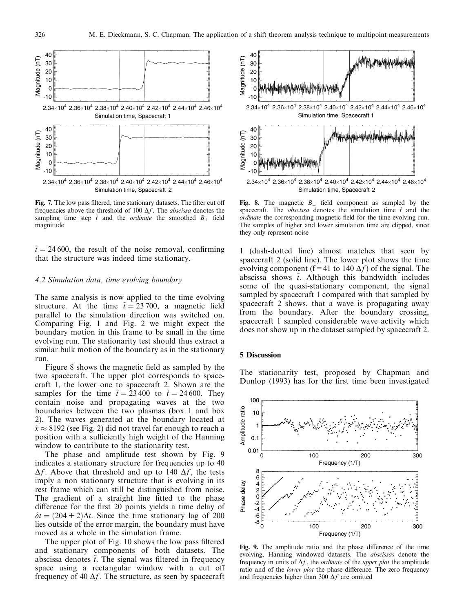

Fig. 7. The low pass filtered, time stationary datasets. The filter cut off frequencies above the threshold of 100  $\Delta f$ . The *abscissa* denotes the sampling time step  $\tilde{t}$  and the *ordinate* the smoothed  $B_{\perp}$  field magnitude

 $\tilde{t} = 24\,600$ , the result of the noise removal, confirming that the structure was indeed time stationary.

### 4.2 Simulation data, time evolving boundary

The same analysis is now applied to the time evolving structure. At the time  $\tilde{t} = 23,700$ , a magnetic field parallel to the simulation direction was switched on. Comparing Fig. 1 and Fig. 2 we might expect the boundary motion in this frame to be small in the time evolving run. The stationarity test should thus extract a similar bulk motion of the boundary as in the stationary run.

Figure 8 shows the magnetic field as sampled by the two spacecraft. The upper plot corresponds to spacecraft 1, the lower one to spacecraft 2. Shown are the samples for the time  $\tilde{t} = 23\,400$  to  $\tilde{t} = 24\,600$ . They contain noise and propagating waves at the two boundaries between the two plasmas (box 1 and box 2). The waves generated at the boundary located at  $\tilde{x} \approx 8192$  (see Fig. 2) did not travel far enough to reach a position with a sufficiently high weight of the Hanning window to contribute to the stationarity test.

The phase and amplitude test shown by Fig. 9 indicates a stationary structure for frequencies up to 40  $\Delta f$ . Above that threshold and up to 140  $\Delta f$ , the tests imply a non stationary structure that is evolving in its rest frame which can still be distinguished from noise. The gradient of a straight line fitted to the phase difference for the first 20 points yields a time delay of  $\delta t = (204 \pm 2)\Delta t$ . Since the time stationary lag of 200 lies outside of the error margin, the boundary must have moved as a whole in the simulation frame.

The upper plot of Fig. 10 shows the low pass filtered and stationary components of both datasets. The abscissa denotes  $\tilde{t}$ . The signal was filtered in frequency space using a rectangular window with a cut off frequency of 40  $\Delta f$ . The structure, as seen by spacecraft



Fig. 8. The magnetic  $B_{\perp}$  field component as sampled by the spacecraft. The *abscissa* denotes the simulation time  $\tilde{t}$  and the ordinate the corresponding magnetic field for the time evolving run. The samples of higher and lower simulation time are clipped, since they only represent noise

1 (dash-dotted line) almost matches that seen by spacecraft 2 (solid line). The lower plot shows the time evolving component (f=41 to 140  $\Delta f$ ) of the signal. The abscissa shows  $\tilde{t}$ . Although this bandwidth includes some of the quasi-stationary component, the signal sampled by spacecraft 1 compared with that sampled by spacecraft 2 shows, that a wave is propagating away from the boundary. After the boundary crossing, spacecraft 1 sampled considerable wave activity which does not show up in the dataset sampled by spacecraft 2.

## 5 Discussion

The stationarity test, proposed by Chapman and Dunlop (1993) has for the first time been investigated



Fig. 9. The amplitude ratio and the phase difference of the time evolving, Hanning windowed datasets. The abscissas denote the frequency in units of  $\Delta f$ , the *ordinate* of the *upper plot* the amplitude ratio and of the lower plot the phase difference. The zero frequency and frequencies higher than 300  $\Delta f$  are omitted